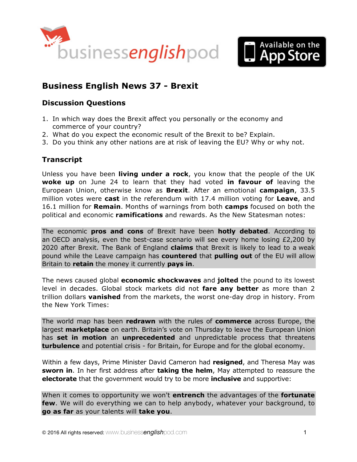



# **Business English News 37 - Brexit**

## **Discussion Questions**

- 1. In which way does the Brexit affect you personally or the economy and commerce of your country?
- 2. What do you expect the economic result of the Brexit to be? Explain.
- 3. Do you think any other nations are at risk of leaving the EU? Why or why not.

# **Transcript**

Unless you have been **living under a rock**, you know that the people of the UK **woke up** on June 24 to learn that they had voted **in favour of** leaving the European Union, otherwise know as **Brexit**. After an emotional **campaign**, 33.5 million votes were **cast** in the referendum with 17.4 million voting for **Leave**, and 16.1 million for **Remain**. Months of warnings from both **camps** focused on both the political and economic **ramifications** and rewards. As the New Statesman notes:

The economic **pros and cons** of Brexit have been **hotly debated**. According to an OECD analysis, even the best-case scenario will see every home losing  $£2,200$  by 2020 after Brexit. The Bank of England **claims** that Brexit is likely to lead to a weak pound while the Leave campaign has **countered** that **pulling out** of the EU will allow Britain to **retain** the money it currently **pays in**.

The news caused global **economic shockwaves** and **jolted** the pound to its lowest level in decades. Global stock markets did not **fare any better** as more than 2 trillion dollars **vanished** from the markets, the worst one-day drop in history. From the New York Times:

The world map has been **redrawn** with the rules of **commerce** across Europe, the largest **marketplace** on earth. Britain's vote on Thursday to leave the European Union has **set in motion** an **unprecedented** and unpredictable process that threatens **turbulence** and potential crisis - for Britain, for Europe and for the global economy.

Within a few days, Prime Minister David Cameron had **resigned**, and Theresa May was **sworn in**. In her first address after **taking the helm**, May attempted to reassure the **electorate** that the government would try to be more **inclusive** and supportive:

When it comes to opportunity we won't **entrench** the advantages of the **fortunate few**. We will do everything we can to help anybody, whatever your background, to **go as far** as your talents will **take you**.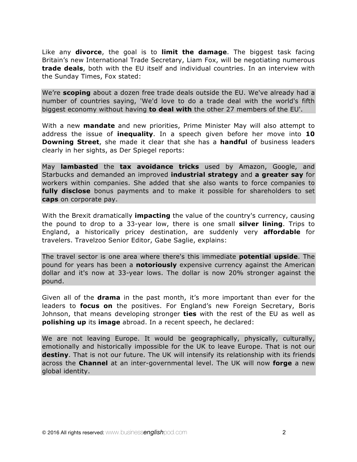Like any **divorce**, the goal is to **limit the damage**. The biggest task facing Britain's new International Trade Secretary, Liam Fox, will be negotiating numerous **trade deals**, both with the EU itself and individual countries. In an interview with the Sunday Times, Fox stated:

We're **scoping** about a dozen free trade deals outside the EU. We've already had a number of countries saying, 'We'd love to do a trade deal with the world's fifth biggest economy without having **to deal with** the other 27 members of the EU'.

With a new **mandate** and new priorities, Prime Minister May will also attempt to address the issue of **inequality**. In a speech given before her move into **10 Downing Street**, she made it clear that she has a **handful** of business leaders clearly in her sights, as Der Spiegel reports:

May **lambasted** the **tax avoidance tricks** used by Amazon, Google, and Starbucks and demanded an improved **industrial strategy** and **a greater say** for workers within companies. She added that she also wants to force companies to **fully disclose** bonus payments and to make it possible for shareholders to set **caps** on corporate pay.

With the Brexit dramatically **impacting** the value of the country's currency, causing the pound to drop to a 33-year low, there is one small **silver lining**. Trips to England, a historically pricey destination, are suddenly very **affordable** for travelers. Travelzoo Senior Editor, Gabe Saglie, explains:

The travel sector is one area where there's this immediate **potential upside**. The pound for years has been a **notoriously** expensive currency against the American dollar and it's now at 33-year lows. The dollar is now 20% stronger against the pound.

Given all of the **drama** in the past month, it's more important than ever for the leaders to **focus on** the positives. For England's new Foreign Secretary, Boris Johnson, that means developing stronger **ties** with the rest of the EU as well as **polishing up** its **image** abroad. In a recent speech, he declared:

We are not leaving Europe. It would be geographically, physically, culturally, emotionally and historically impossible for the UK to leave Europe. That is not our **destiny**. That is not our future. The UK will intensify its relationship with its friends across the **Channel** at an inter-governmental level. The UK will now **forge** a new global identity.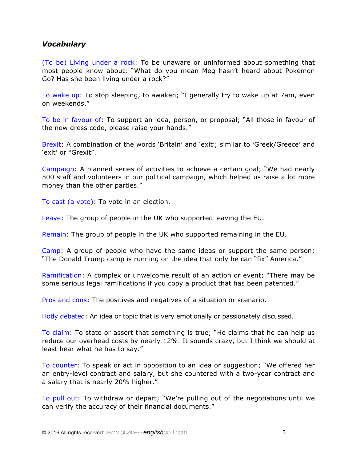### *Vocabulary*

(To be) Living under a rock: To be unaware or uninformed about something that most people know about; "What do you mean Meg hasn't heard about Pokémon Go? Has she been living under a rock?"

To wake up: To stop sleeping, to awaken; "I generally try to wake up at 7am, even on weekends."

To be in favour of: To support an idea, person, or proposal; "All those in favour of the new dress code, please raise your hands."

Brexit: A combination of the words 'Britain' and 'exit'; similar to 'Greek/Greece' and 'exit' or "Grexit".

Campaign: A planned series of activities to achieve a certain goal; "We had nearly 500 staff and volunteers in our political campaign, which helped us raise a lot more money than the other parties."

To cast (a vote): To vote in an election.

Leave: The group of people in the UK who supported leaving the EU.

Remain: The group of people in the UK who supported remaining in the EU.

Camp: A group of people who have the same ideas or support the same person; "The Donald Trump camp is running on the idea that only he can "fix" America."

Ramification: A complex or unwelcome result of an action or event; "There may be some serious legal ramifications if you copy a product that has been patented."

Pros and cons: The positives and negatives of a situation or scenario.

Hotly debated: An idea or topic that is very emotionally or passionately discussed.

To claim: To state or assert that something is true; "He claims that he can help us reduce our overhead costs by nearly 12%. It sounds crazy, but I think we should at least hear what he has to say."

To counter: To speak or act in opposition to an idea or suggestion; "We offered her an entry-level contract and salary, but she countered with a two-year contract and a salary that is nearly 20% higher."

To pull out: To withdraw or depart; "We're pulling out of the negotiations until we can verify the accuracy of their financial documents."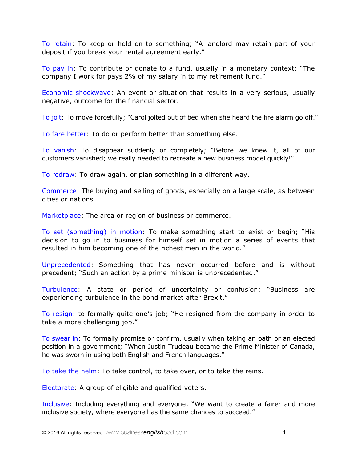To retain: To keep or hold on to something; "A landlord may retain part of your deposit if you break your rental agreement early."

To pay in: To contribute or donate to a fund, usually in a monetary context; "The company I work for pays 2% of my salary in to my retirement fund."

Economic shockwave: An event or situation that results in a very serious, usually negative, outcome for the financial sector.

To jolt: To move forcefully; "Carol jolted out of bed when she heard the fire alarm go off."

To fare better: To do or perform better than something else.

To vanish: To disappear suddenly or completely; "Before we knew it, all of our customers vanished; we really needed to recreate a new business model quickly!"

To redraw: To draw again, or plan something in a different way.

Commerce: The buying and selling of goods, especially on a large scale, as between cities or nations.

Marketplace: The area or region of business or commerce.

To set (something) in motion: To make something start to exist or begin; "His decision to go in to business for himself set in motion a series of events that resulted in him becoming one of the richest men in the world."

Unprecedented: Something that has never occurred before and is without precedent; "Such an action by a prime minister is unprecedented."

Turbulence: A state or period of uncertainty or confusion; "Business are experiencing turbulence in the bond market after Brexit."

To resign: to formally quite one's job; "He resigned from the company in order to take a more challenging job."

To swear in: To formally promise or confirm, usually when taking an oath or an elected position in a government; "When Justin Trudeau became the Prime Minister of Canada, he was sworn in using both English and French languages."

To take the helm: To take control, to take over, or to take the reins.

Electorate: A group of eligible and qualified voters.

Inclusive: Including everything and everyone; "We want to create a fairer and more inclusive society, where everyone has the same chances to succeed."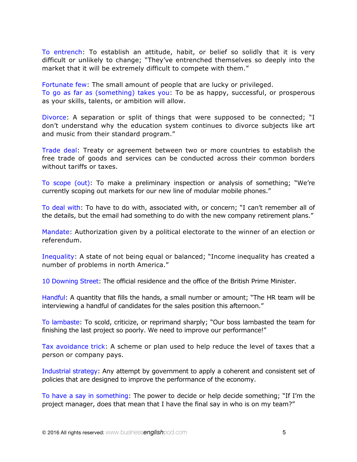To entrench: To establish an attitude, habit, or belief so solidly that it is very difficult or unlikely to change; "They've entrenched themselves so deeply into the market that it will be extremely difficult to compete with them."

Fortunate few: The small amount of people that are lucky or privileged.

To go as far as (something) takes you: To be as happy, successful, or prosperous as your skills, talents, or ambition will allow.

Divorce: A separation or split of things that were supposed to be connected; "I don't understand why the education system continues to divorce subjects like art and music from their standard program."

Trade deal: Treaty or agreement between two or more countries to establish the free trade of goods and services can be conducted across their common borders without tariffs or taxes.

To scope (out): To make a preliminary inspection or analysis of something; "We're currently scoping out markets for our new line of modular mobile phones."

To deal with: To have to do with, associated with, or concern; "I can't remember all of the details, but the email had something to do with the new company retirement plans."

Mandate: Authorization given by a political electorate to the winner of an election or referendum.

Inequality: A state of not being equal or balanced; "Income inequality has created a number of problems in north America."

10 Downing Street: The official residence and the office of the British Prime Minister.

Handful: A quantity that fills the hands, a small number or amount; "The HR team will be interviewing a handful of candidates for the sales position this afternoon."

To lambaste: To scold, criticize, or reprimand sharply; "Our boss lambasted the team for finishing the last project so poorly. We need to improve our performance!"

Tax avoidance trick: A scheme or plan used to help reduce the level of taxes that a person or company pays.

Industrial strategy: Any attempt by government to apply a coherent and consistent set of policies that are designed to improve the performance of the economy.

To have a say in something: The power to decide or help decide something; "If I'm the project manager, does that mean that I have the final say in who is on my team?"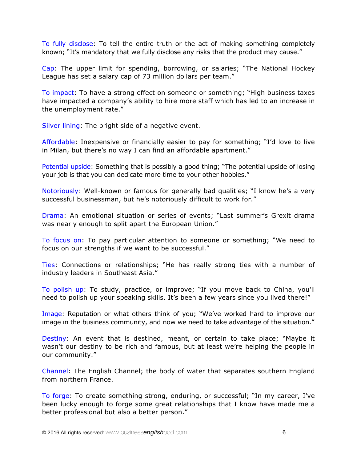To fully disclose: To tell the entire truth or the act of making something completely known; "It's mandatory that we fully disclose any risks that the product may cause."

Cap: The upper limit for spending, borrowing, or salaries; "The National Hockey League has set a salary cap of 73 million dollars per team."

To impact: To have a strong effect on someone or something; "High business taxes have impacted a company's ability to hire more staff which has led to an increase in the unemployment rate."

Silver lining: The bright side of a negative event.

Affordable: Inexpensive or financially easier to pay for something; "I'd love to live in Milan, but there's no way I can find an affordable apartment."

Potential upside: Something that is possibly a good thing; "The potential upside of losing your job is that you can dedicate more time to your other hobbies."

Notoriously: Well-known or famous for generally bad qualities; "I know he's a very successful businessman, but he's notoriously difficult to work for."

Drama: An emotional situation or series of events; "Last summer's Grexit drama was nearly enough to split apart the European Union."

To focus on: To pay particular attention to someone or something; "We need to focus on our strengths if we want to be successful."

Ties: Connections or relationships; "He has really strong ties with a number of industry leaders in Southeast Asia."

To polish up: To study, practice, or improve; "If you move back to China, you'll need to polish up your speaking skills. It's been a few years since you lived there!"

Image: Reputation or what others think of you; "We've worked hard to improve our image in the business community, and now we need to take advantage of the situation."

Destiny: An event that is destined, meant, or certain to take place; "Maybe it wasn't our destiny to be rich and famous, but at least we're helping the people in our community."

Channel: The English Channel; the body of water that separates southern England from northern France.

To forge: To create something strong, enduring, or successful; "In my career, I've been lucky enough to forge some great relationships that I know have made me a better professional but also a better person."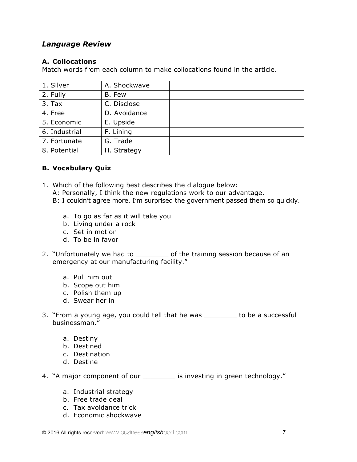# *Language Review*

#### **A. Collocations**

Match words from each column to make collocations found in the article.

| 1. Silver     | A. Shockwave |  |
|---------------|--------------|--|
| 2. Fully      | B. Few       |  |
| $3.$ Tax      | C. Disclose  |  |
| 4. Free       | D. Avoidance |  |
| 5. Economic   | E. Upside    |  |
| 6. Industrial | F. Lining    |  |
| 7. Fortunate  | G. Trade     |  |
| 8. Potential  | H. Strategy  |  |

#### **B. Vocabulary Quiz**

- 1. Which of the following best describes the dialogue below:
	- A: Personally, I think the new regulations work to our advantage.
	- B: I couldn't agree more. I'm surprised the government passed them so quickly.
		- a. To go as far as it will take you
		- b. Living under a rock
		- c. Set in motion
		- d. To be in favor
- 2. "Unfortunately we had to \_\_\_\_\_\_\_\_ of the training session because of an emergency at our manufacturing facility."
	- a. Pull him out
	- b. Scope out him
	- c. Polish them up
	- d. Swear her in
- 3. "From a young age, you could tell that he was to be a successful businessman."
	- a. Destiny
	- b. Destined
	- c. Destination
	- d. Destine
- 4. "A major component of our \_\_\_\_\_\_\_\_ is investing in green technology."
	- a. Industrial strategy
	- b. Free trade deal
	- c. Tax avoidance trick
	- d. Economic shockwave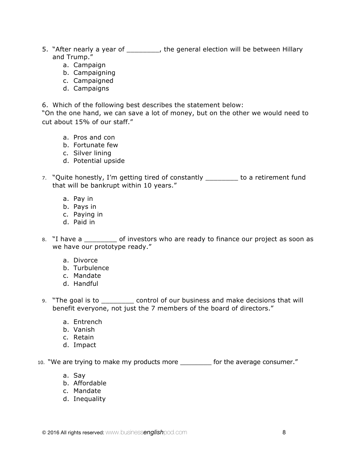- 5. "After nearly a year of \_\_\_\_\_\_\_\_, the general election will be between Hillary and Trump."
	- a. Campaign
	- b. Campaigning
	- c. Campaigned
	- d. Campaigns

6. Which of the following best describes the statement below:

"On the one hand, we can save a lot of money, but on the other we would need to cut about 15% of our staff."

- a. Pros and con
- b. Fortunate few
- c. Silver lining
- d. Potential upside
- 7. "Quite honestly, I'm getting tired of constantly \_\_\_\_\_\_\_\_ to a retirement fund that will be bankrupt within 10 years."
	- a. Pay in
	- b. Pays in
	- c. Paying in
	- d. Paid in
- 8. "I have a \_\_\_\_\_\_\_\_ of investors who are ready to finance our project as soon as we have our prototype ready."
	- a. Divorce
	- b. Turbulence
	- c. Mandate
	- d. Handful
- 9. "The goal is to \_\_\_\_\_\_\_\_ control of our business and make decisions that will benefit everyone, not just the 7 members of the board of directors."
	- a. Entrench
	- b. Vanish
	- c. Retain
	- d. Impact

10. "We are trying to make my products more \_\_\_\_\_\_\_\_ for the average consumer."

- a. Say
- b. Affordable
- c. Mandate
- d. Inequality